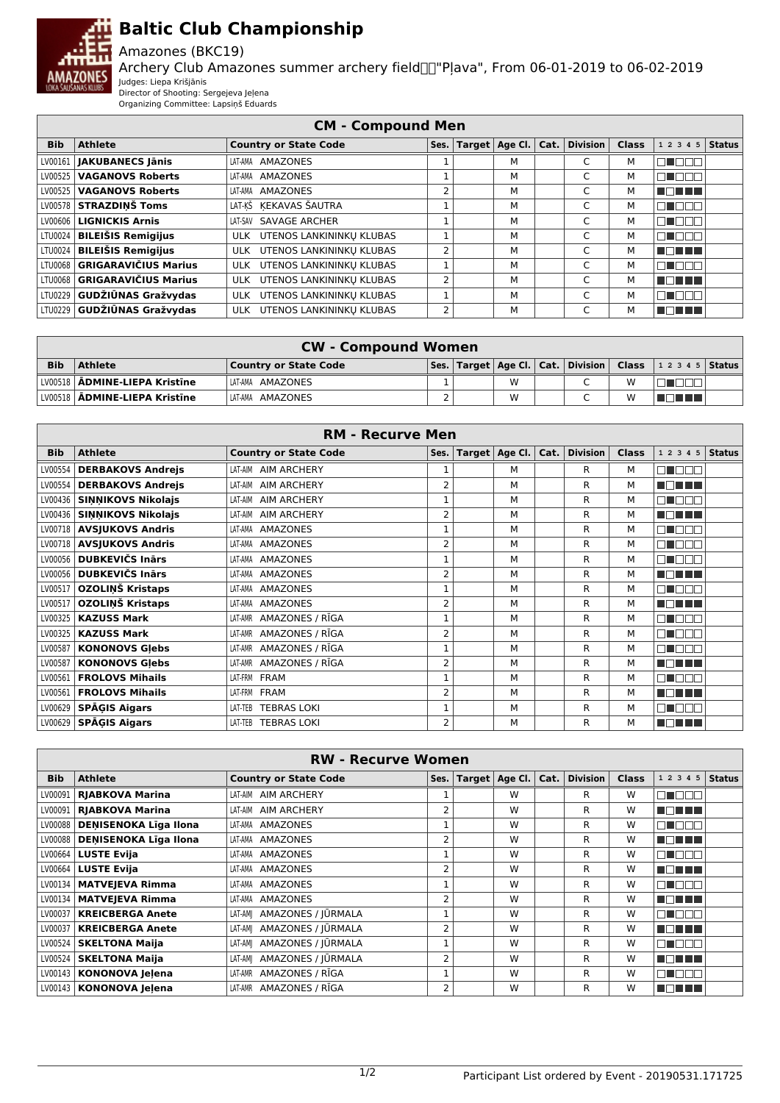

## **Baltic Club Championship**

## Amazones (BKC19)

Archery Club Amazones summer archery field "Pļava", From 06-01-2019 to 06-02-2019 Judges: Liepa Krišjānis

Director of Shooting: Sergejeva Jeļena Organizing Committee: Lapsiņš Eduards

| <b>CM - Compound Men</b> |                              |                              |      |  |                             |  |          |              |                |  |
|--------------------------|------------------------------|------------------------------|------|--|-----------------------------|--|----------|--------------|----------------|--|
| <b>Bib</b>               | <b>Athlete</b>               | <b>Country or State Code</b> | Ses. |  | Target $ $ Age Cl. $ $ Cat. |  | Division | <b>Class</b> | $12345$ Status |  |
|                          | LV00161   JAKUBANECS Jānis   | AMAZONES<br>LAT-AMA          |      |  | м                           |  | C        | М            | ┒              |  |
|                          | LV00525   VAGANOVS Roberts   | LAT-AMA AMAZONES             |      |  | м                           |  | C        | м            | ור             |  |
|                          | LV00525   VAGANOVS Roberts   | AMAZONES<br>LAT-AMA          | 2    |  | м                           |  | C        | м            | N DIN HI       |  |
|                          | LV00578 STRAZDINŠ Toms       | LAT-KŠ KEKAVAS ŠAUTRA        |      |  | м                           |  | Ċ        | М            | □<br>4000      |  |
|                          | LV00606   LIGNICKIS Arnis    | LAT-SAV SAVAGE ARCHER        |      |  | м                           |  | C        | м            | ╗<br>TOOL      |  |
|                          | LTU0024   BILEIŠIS Remigijus | ULK UTENOS LANKININKU KLUBAS |      |  | м                           |  | C        | м            | ור             |  |
|                          | LTU0024   BILEIŠIS Remigijus | ULK UTENOS LANKININKU KLUBAS | 2    |  | М                           |  | C        | М            | a sa san sa    |  |
|                          | LTU0068 GRIGARAVIČIUS Marius | ULK UTENOS LANKININKU KLUBAS |      |  | м                           |  | C        | М            | 71<br>Innr     |  |
|                          | LTU0068 GRIGARAVIČIUS Marius | ULK UTENOS LANKININKU KLUBAS | 2    |  | м                           |  | C        | м            | n mana         |  |
|                          | LTU0229 GUDŽIŪNAS Gražvydas  | ULK UTENOS LANKININKU KLUBAS |      |  | М                           |  | C        | М            | ПL<br>N E E E  |  |
|                          | LTU0229 GUDŽIŪNAS Gražvydas  | ULK UTENOS LANKININKU KLUBAS | 2    |  | м                           |  | C        | М            | M DI MET       |  |

| <b>CW - Compound Women</b> |                                 |                       |  |  |   |  |  |   |                                                                        |  |
|----------------------------|---------------------------------|-----------------------|--|--|---|--|--|---|------------------------------------------------------------------------|--|
| <b>Bib</b>                 | Athlete                         | Country or State Code |  |  |   |  |  |   | Ses.   Target   Age Cl.   Cat.   Division   Class   1 2 3 4 5   Status |  |
|                            | LV00518   ADMINE-LIEPA Kristine | LAT-AMA AMAZONES      |  |  | W |  |  | W |                                                                        |  |
|                            | LV00518   ADMINE-LIEPA Kristīne | ILAT-AMA AMAZONES     |  |  | W |  |  | w | 70 O O                                                                 |  |

| <b>RM - Recurve Men</b> |                            |                               |                |  |                  |      |                 |              |            |               |
|-------------------------|----------------------------|-------------------------------|----------------|--|------------------|------|-----------------|--------------|------------|---------------|
| <b>Bib</b>              | <b>Athlete</b>             | <b>Country or State Code</b>  | Ses.           |  | Target   Age Cl. | Cat. | <b>Division</b> | <b>Class</b> | 1 2 3 4 5  | <b>Status</b> |
| LV00554                 | <b>DERBAKOVS Andrejs</b>   | LAT-AIM AIM ARCHERY           |                |  | м                |      | R               | м            | n nan      |               |
| LV00554                 | <b>DERBAKOVS Andrejs</b>   | <b>AIM ARCHERY</b><br>LAT-AIM | 2              |  | M                |      | R               | М            | M DI HIN   |               |
| LV00436                 | <b>SINNIKOVS Nikolajs</b>  | <b>AIM ARCHERY</b><br>LAT-AIM | 1              |  | M                |      | R               | М            | man mm     |               |
| LV00436                 | <b>SINNIKOVS Nikolajs</b>  | <b>AIM ARCHERY</b><br>LAT-AIM | 2              |  | M                |      | R               | м            | MA MET     |               |
|                         | LV00718   AVSJUKOVS Andris | AMAZONES<br>LAT-AMA           |                |  | M                |      | R               | м            | n nan      |               |
|                         | LV00718   AVSJUKOVS Andris | AMAZONES<br>LAT-AMA           | 2              |  | М                |      | R               | м            | N NO D     |               |
| LV00056                 | <b>DUBKEVIČS Inārs</b>     | LAT-AMA AMAZONES              | $\mathbf{1}$   |  | M                |      | R               | м            | n n        |               |
| LV00056                 | <b>DUBKEVIČS Inārs</b>     | <b>AMAZONES</b><br>LAT-AMA    | 2              |  | M                |      | R               | М            | MON HI     |               |
| LV00517                 | OZOLINŠ Kristaps           | AMAZONES<br>LAT-AMA           | 1              |  | M                |      | R               | м            | E FEE      |               |
| LV00517                 | OZOLINŠ Kristaps           | <b>AMAZONES</b><br>LAT-AMA    | 2              |  | M                |      | R               | м            | MA MARIT   |               |
| LV00325                 | <b>KAZUSS Mark</b>         | LAT-AMR AMAZONES / RĪGA       | 1              |  | M                |      | R               | м            | MUEL       |               |
| LV00325                 | <b>KAZUSS Mark</b>         | AMAZONES / RĪGA<br>LAT-AMR    | 2              |  | M                |      | R               | м            | ma mar     |               |
| LV00587                 | <b>KONONOVS Glebs</b>      | AMAZONES / RĪGA<br>LAT-AMR    | 1              |  | M                |      | R               | м            | m n<br>חרר |               |
| LV00587                 | <b>KONONOVS Glebs</b>      | AMAZONES / RĪGA<br>LAT-AMR    | 2              |  | M                |      | R               | м            | MA MARIT   |               |
| LV00561                 | <b>FROLOVS Mihails</b>     | LAT-FRM FRAM                  | $\mathbf{1}$   |  | M                |      | R               | M            | MAN MAN    |               |
| LV00561                 | <b>FROLOVS Mihails</b>     | LAT-FRM FRAM                  | 2              |  | M                |      | R               | м            | n din sin  |               |
| LV00629                 | <b>SPĀGIS Aigars</b>       | <b>TEBRAS LOKI</b><br>LAT-TEB | $\mathbf{1}$   |  | M                |      | R               | м            | n na n     |               |
| LV00629                 | <b>SPĀGIS Aigars</b>       | <b>TEBRAS LOKI</b><br>LAT-TEB | $\overline{2}$ |  | M                |      | R               | м            | MENT H     |               |

| <b>RW - Recurve Women</b> |                                                                                                                                         |                               |   |  |   |  |   |   |                |        |
|---------------------------|-----------------------------------------------------------------------------------------------------------------------------------------|-------------------------------|---|--|---|--|---|---|----------------|--------|
| <b>Bib</b>                | <b>Division</b><br><b>Athlete</b><br>Age Cl.<br>Cat.<br><b>Class</b><br><b>Country or State Code</b><br>Target $ $<br>1 2 3 4 5<br>Ses. |                               |   |  |   |  |   |   |                | Status |
| LV00091                   | <b>RJABKOVA Marina</b>                                                                                                                  | LAT-AIM AIM ARCHERY           |   |  | W |  | R | W | n n n n        |        |
| LV00091                   | <b>RJABKOVA Marina</b>                                                                                                                  | LAT-AIM AIM ARCHERY           | 2 |  | W |  | R | W | MA MARI        |        |
| LV00088                   | <b>DENISENOKA Līga Ilona</b>                                                                                                            | AMAZONES<br>LAT-AMA           |   |  | W |  | R | W | 70 D D D D     |        |
| LV00088                   | <b>DENISENOKA Līga Ilona</b>                                                                                                            | LAT-AMA AMAZONES              | 2 |  | W |  | R | W | n din sa       |        |
| LV00664                   | <b>LUSTE Evija</b>                                                                                                                      | AMAZONES<br>LAT-AMA           |   |  | W |  | R | W | man man        |        |
| LV00664                   | <b>LUSTE Evija</b>                                                                                                                      | AMAZONES<br>LAT-AMA           | 2 |  | W |  | R | W | MA MARIT       |        |
| LV00134                   | <b>MATVEJEVA Rimma</b>                                                                                                                  | LAT-AMA AMAZONES              |   |  | W |  | R | W | n n n n        |        |
| LV00134                   | <b>MATVEJEVA Rimma</b>                                                                                                                  | AMAZONES<br>LAT-AMA           | 2 |  | W |  | R | W | n din se       |        |
| LV00037                   | <b>KREICBERGA Anete</b>                                                                                                                 | AMAZONES / JŪRMALA<br>LAT-AMI |   |  | W |  | R | W | mmmr           |        |
| LV00037                   | <b>KREICBERGA Anete</b>                                                                                                                 | LAT-AMI AMAZONES / JŪRMALA    | 2 |  | W |  | R | W | MA MARI        |        |
| LV00524                   | <b>SKELTONA Maija</b>                                                                                                                   | LAT-AM  AMAZONES / JŪRMALA    |   |  | W |  | R | W | n n n n        |        |
| LV00524                   | <b>SKELTONA Maila</b>                                                                                                                   | LAT-AM  AMAZONES / JŪRMALA    | 2 |  | W |  | R | W | MA MARIT       |        |
| LV00143                   | <b>KONONOVA Jelena</b>                                                                                                                  | AMAZONES / RĪGA<br>LAT-AMR    |   |  | W |  | R | W | an an a        |        |
|                           | LV00143   KONONOVA Jelena                                                                                                               | LAT-AMR AMAZONES / RĪGA       | 2 |  | W |  | R | W | T FIFT<br>88 H |        |